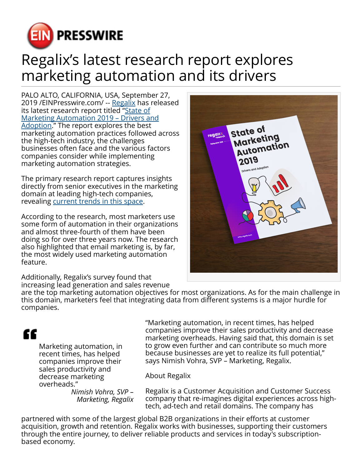

## Regalix's latest research report explores marketing automation and its drivers

PALO ALTO, CALIFORNIA, USA, September 27, 2019 /[EINPresswire.com](http://www.einpresswire.com)/ -- [Regalix](https://www.regalix.com) has released its latest research report titled ["State of](https://www.regalix.com/insights/state-of-marketing-automation-2019-drivers-and-adoption) [Marketing Automation 2019 – Drivers and](https://www.regalix.com/insights/state-of-marketing-automation-2019-drivers-and-adoption) [Adoption](https://www.regalix.com/insights/state-of-marketing-automation-2019-drivers-and-adoption)." The report explores the best marketing automation practices followed across the high-tech industry, the challenges businesses often face and the various factors companies consider while implementing marketing automation strategies.

The primary research report captures insights directly from senior executives in the marketing domain at leading high-tech companies, revealing [current trends in this space.](https://www.regalix.com/insights/enhancing-customer-experience-marketing-automation)

According to the research, most marketers use some form of automation in their organizations and almost three-fourth of them have been doing so for over three years now. The research also highlighted that email marketing is, by far, the most widely used marketing automation feature.



Additionally, Regalix's survey found that increasing lead generation and sales revenue

are the top marketing automation objectives for most organizations. As for the main challenge in this domain, marketers feel that integrating data from different systems is a major hurdle for companies.

## ££

Marketing automation, in recent times, has helped companies improve their sales productivity and decrease marketing overheads."

*Nimish Vohra, SVP – Marketing, Regalix* "Marketing automation, in recent times, has helped companies improve their sales productivity and decrease marketing overheads. Having said that, this domain is set to grow even further and can contribute so much more because businesses are yet to realize its full potential," says Nimish Vohra, SVP – Marketing, Regalix.

About Regalix

Regalix is a Customer Acquisition and Customer Success company that re-imagines digital experiences across hightech, ad-tech and retail domains. The company has

partnered with some of the largest global B2B organizations in their efforts at customer acquisition, growth and retention. Regalix works with businesses, supporting their customers through the entire journey, to deliver reliable products and services in today's subscriptionbased economy.